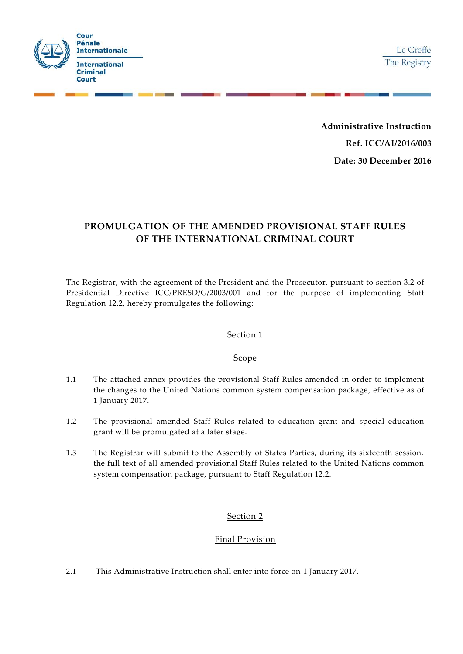

**Administrative Instruction Ref. ICC/AI/2016/003 Date: 30 December 2016** 

# **PROMULGATION OF THE AMENDED PROVISIONAL STAFF RULES OF THE INTERNATIONAL CRIMINAL COURT**

The Registrar, with the agreement of the President and the Prosecutor, pursuant to section 3.2 of Presidential Directive ICC/PRESD/G/2003/001 and for the purpose of implementing Staff Regulation 12.2, hereby promulgates the following:

### Section 1

### Scope

- 1.1 The attached annex provides the provisional Staff Rules amended in order to implement the changes to the United Nations common system compensation package, effective as of 1 January 2017.
- 1.2 The provisional amended Staff Rules related to education grant and special education grant will be promulgated at a later stage.
- 1.3 The Registrar will submit to the Assembly of States Parties, during its sixteenth session, the full text of all amended provisional Staff Rules related to the United Nations common system compensation package, pursuant to Staff Regulation 12.2.

# Section 2

# Final Provision

2.1 This Administrative Instruction shall enter into force on 1 January 2017.